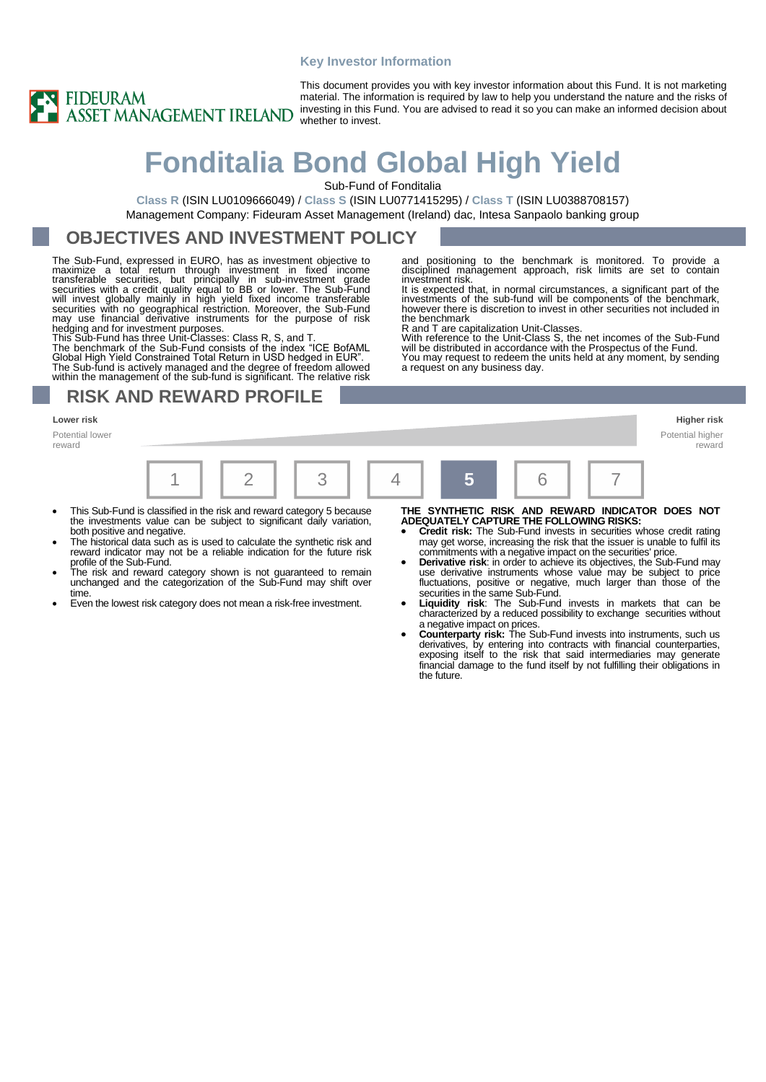#### **Key Investor Information**



This document provides you with key investor information about this Fund. It is not marketing material. The information is required by law to help you understand the nature and the risks of investing in this Fund. You are advised to read it so you can make an informed decision about whether to invest.

# **Fonditalia Bond Global High Yield**

Sub-Fund of Fonditalia

investment risk.

the benchmark

R and T are capitalization Unit-Classes.

a request on any business day.

**Class R** (ISIN LU0109666049) / **Class S** (ISIN LU0771415295) / **Class T** (ISIN LU0388708157) Management Company: Fideuram Asset Management (Ireland) dac, Intesa Sanpaolo banking group

### **OBJECTIVES AND INVESTMENT POLICY**

The Sub-Fund, expressed in EURO, has as investment objective to maximize a total return through investment in fixed income<br>transferable securities, but principally in sub-investment grade<br>securities with a credit quality equal to BB or lower. The Sub-Fund<br>will invest globally mainly in may use financial derivative instruments for the purpose of risk hedging and for investment purposes. This Sub-Fund has three Unit-Classes: Class R, S, and T.

The benchmark of the Sub-Fund consists of the index "ICE BofAML Global High Yield Constrained Total Return in USD hedged in EUR". The Sub-fund is actively managed and the degree of freedom allowed within the management of the sub-fund is significant. The relative risk

### **RISK AND REWARD PROFILE**

#### **Lower risk Higher risk**

Potential lower reward



- This Sub-Fund is classified in the risk and reward category 5 because the investments value can be subject to significant daily variation, both positive and negative.
- The historical data such as is used to calculate the synthetic risk and reward indicator may not be a reliable indication for the future risk profile of the Sub-Fund.
- The risk and reward category shown is not guaranteed to remain unchanged and the categorization of the Sub-Fund may shift over time.
- Even the lowest risk category does not mean a risk-free investment.

**THE SYNTHETIC RISK AND REWARD INDICATOR DOES NOT ADEQUATELY CAPTURE THE FOLLOWING RISKS:** • **Credit risk:** The Sub-Fund invests in securities whose credit rating

reward

and positioning to the benchmark is monitored. To provide a disciplined management approach, risk limits are set to contain

It is expected that, in normal circumstances, a significant part of the investments of the sub-fund will be components of the benchmark, however there is discretion to invest in other securities not included in

With reference to the Unit-Class S, the net incomes of the Sub-Fund will be distributed in accordance with the Prospectus of the Fund. You may request to redeem the units held at any moment, by sending

- may get worse, increasing the risk that the issuer is unable to fulfil its commitments with a negative impact on the securities' price.
- **Derivative risk:** in order to achieve its objectives, the Sub-Fund may use derivative instruments whose value may be subject to price fluctuations, positive or negative, much larger than those of the securities in the same Sub-Fund. • **Liquidity risk**: The Sub-Fund invests in markets that can be
- characterized by a reduced possibility to exchange securities without a negative impact on prices.
- **Counterparty risk:** The Sub-Fund invests into instruments, such us derivatives, by entering into contracts with financial counterparties, exposing itself to the risk that said intermediaries may generate financial damage to the fund itself by not fulfilling their obligations in the future.